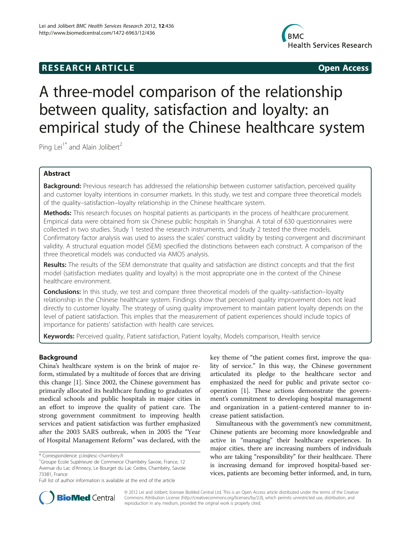# **RESEARCH ARTICLE Example 2018 12:00 Open Access**



# A three-model comparison of the relationship between quality, satisfaction and loyalty: an empirical study of the Chinese healthcare system

Ping Lei<sup>1\*</sup> and Alain Jolibert<sup>2</sup>

# Abstract

Background: Previous research has addressed the relationship between customer satisfaction, perceived quality and customer loyalty intentions in consumer markets. In this study, we test and compare three theoretical models of the quality–satisfaction–loyalty relationship in the Chinese healthcare system.

Methods: This research focuses on hospital patients as participants in the process of healthcare procurement. Empirical data were obtained from six Chinese public hospitals in Shanghai. A total of 630 questionnaires were collected in two studies. Study 1 tested the research instruments, and Study 2 tested the three models. Confirmatory factor analysis was used to assess the scales' construct validity by testing convergent and discriminant validity. A structural equation model (SEM) specified the distinctions between each construct. A comparison of the three theoretical models was conducted via AMOS analysis.

Results: The results of the SEM demonstrate that quality and satisfaction are distinct concepts and that the first model (satisfaction mediates quality and loyalty) is the most appropriate one in the context of the Chinese healthcare environment.

**Conclusions:** In this study, we test and compare three theoretical models of the quality–satisfaction–loyalty relationship in the Chinese healthcare system. Findings show that perceived quality improvement does not lead directly to customer loyalty. The strategy of using quality improvement to maintain patient loyalty depends on the level of patient satisfaction. This implies that the measurement of patient experiences should include topics of importance for patients' satisfaction with health care services.

Keywords: Perceived quality, Patient satisfaction, Patient loyalty, Models comparison, Health service

# Background

China's healthcare system is on the brink of major reform, stimulated by a multitude of forces that are driving this change [[1\]](#page-9-0). Since 2002, the Chinese government has primarily allocated its healthcare funding to graduates of medical schools and public hospitals in major cities in an effort to improve the quality of patient care. The strong government commitment to improving health services and patient satisfaction was further emphasized after the 2003 SARS outbreak, when in 2005 the "Year of Hospital Management Reform" was declared, with the key theme of "the patient comes first, improve the quality of service." In this way, the Chinese government articulated its pledge to the healthcare sector and emphasized the need for public and private sector cooperation [\[1](#page-9-0)]. These actions demonstrate the government's commitment to developing hospital management and organization in a patient-centered manner to increase patient satisfaction.

Simultaneous with the government's new commitment, Chinese patients are becoming more knowledgeable and active in "managing" their healthcare experiences. In major cities, there are increasing numbers of individuals who are taking "responsibility" for their healthcare. There is increasing demand for improved hospital-based services, patients are becoming better informed, and, in turn,



© 2012 Lei and Jolibert; licensee BioMed Central Ltd. This is an Open Access article distributed under the terms of the Creative Commons Attribution License [\(http://creativecommons.org/licenses/by/2.0\)](http://creativecommons.org/licenses/by/2.0), which permits unrestricted use, distribution, and reproduction in any medium, provided the original work is properly cited.

<sup>\*</sup> Correspondence: [p.lei@esc-chambery.fr](mailto:p.lei@esc-chambery.fr) <sup>1</sup>

<sup>&</sup>lt;sup>1</sup>Groupe Ecole Supérieure de Commerce Chambéry Savoie, France, 12 Avenue du Lac d'Annecy, Le Bourget du Lac Cedex, Chambéry, Savoie 73381, France

Full list of author information is available at the end of the article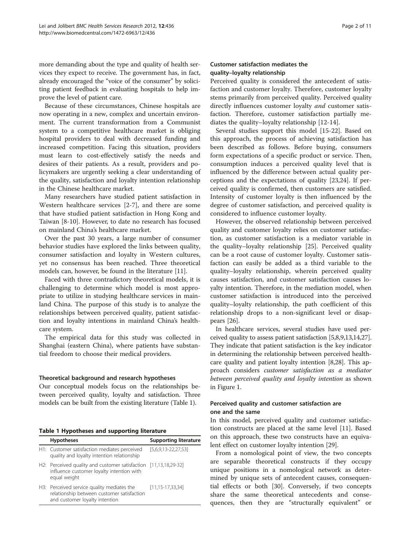more demanding about the type and quality of health services they expect to receive. The government has, in fact, already encouraged the "voice of the consumer" by soliciting patient feedback in evaluating hospitals to help improve the level of patient care.

Because of these circumstances, Chinese hospitals are now operating in a new, complex and uncertain environment. The current transformation from a Communist system to a competitive healthcare market is obliging hospital providers to deal with decreased funding and increased competition. Facing this situation, providers must learn to cost-effectively satisfy the needs and desires of their patients. As a result, providers and policymakers are urgently seeking a clear understanding of the quality, satisfaction and loyalty intention relationship in the Chinese healthcare market.

Many researchers have studied patient satisfaction in Western healthcare services [[2-7](#page-9-0)], and there are some that have studied patient satisfaction in Hong Kong and Taiwan [\[8](#page-9-0)-[10\]](#page-9-0). However, to date no research has focused on mainland China's healthcare market.

Over the past 30 years, a large number of consumer behavior studies have explored the links between quality, consumer satisfaction and loyalty in Western cultures, yet no consensus has been reached. Three theoretical models can, however, be found in the literature [\[11](#page-9-0)].

Faced with three contradictory theoretical models, it is challenging to determine which model is most appropriate to utilize in studying healthcare services in mainland China. The purpose of this study is to analyze the relationships between perceived quality, patient satisfaction and loyalty intentions in mainland China's healthcare system.

The empirical data for this study was collected in Shanghai (eastern China), where patients have substantial freedom to choose their medical providers.

# Theoretical background and research hypotheses

Our conceptual models focus on the relationships between perceived quality, loyalty and satisfaction. Three models can be built from the existing literature (Table 1).

Table 1 Hypotheses and supporting literature

| <b>Hypotheses</b>                                                                                                             | <b>Supporting literature</b> |
|-------------------------------------------------------------------------------------------------------------------------------|------------------------------|
| H1: Customer satisfaction mediates perceived<br>quality and loyalty intention relationship                                    | $[5,6,9,13-22,27,53]$        |
| H2: Perceived quality and customer satisfaction [11,13,18,29-32]<br>influence customer loyalty intention with<br>equal weight |                              |
| H3: Perceived service quality mediates the<br>relationship between customer satisfaction<br>and customer loyalty intention    | $[11, 15 - 17, 33, 34]$      |

# Customer satisfaction mediates the quality–loyalty relationship

Perceived quality is considered the antecedent of satisfaction and customer loyalty. Therefore, customer loyalty stems primarily from perceived quality. Perceived quality directly influences customer loyalty and customer satisfaction. Therefore, customer satisfaction partially mediates the quality–loyalty relationship [\[12](#page-9-0)-[14\]](#page-9-0).

Several studies support this model [[15-22](#page-9-0)]. Based on this approach, the process of achieving satisfaction has been described as follows. Before buying, consumers form expectations of a specific product or service. Then, consumption induces a perceived quality level that is influenced by the difference between actual quality perceptions and the expectations of quality [[23](#page-9-0),[24](#page-9-0)]. If perceived quality is confirmed, then customers are satisfied. Intensity of customer loyalty is then influenced by the degree of customer satisfaction, and perceived quality is considered to influence customer loyalty.

However, the observed relationship between perceived quality and customer loyalty relies on customer satisfaction, as customer satisfaction is a mediator variable in the quality–loyalty relationship [[25\]](#page-9-0). Perceived quality can be a root cause of customer loyalty. Customer satisfaction can easily be added as a third variable to the quality–loyalty relationship, wherein perceived quality causes satisfaction, and customer satisfaction causes loyalty intention. Therefore, in the mediation model, when customer satisfaction is introduced into the perceived quality–loyalty relationship, the path coefficient of this relationship drops to a non-significant level or disappears [\[26](#page-9-0)].

In healthcare services, several studies have used perceived quality to assess patient satisfaction [[5](#page-9-0),[8,9,13,14,27](#page-9-0)]. They indicate that patient satisfaction is the key indicator in determining the relationship between perceived healthcare quality and patient loyalty intention [[8](#page-9-0),[28](#page-9-0)]. This approach considers customer satisfaction as a mediator between perceived quality and loyalty intention as shown in Figure [1.](#page-2-0)

# Perceived quality and customer satisfaction are one and the same

In this model, perceived quality and customer satisfaction constructs are placed at the same level [[11\]](#page-9-0). Based on this approach, these two constructs have an equivalent effect on customer loyalty intention [[29](#page-9-0)].

From a nomological point of view, the two concepts are separable theoretical constructs if they occupy unique positions in a nomological network as determined by unique sets of antecedent causes, consequential effects or both [\[30\]](#page-9-0). Conversely, if two concepts share the same theoretical antecedents and consequences, then they are "structurally equivalent" or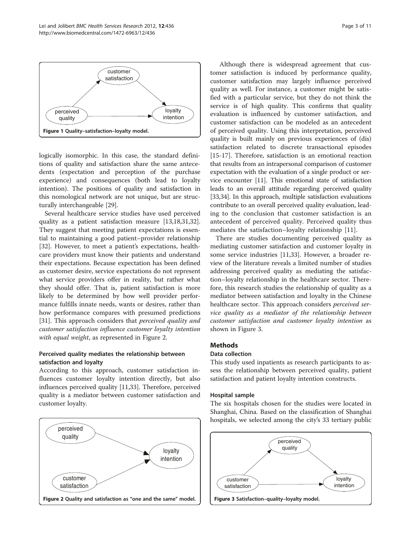<span id="page-2-0"></span>

logically isomorphic. In this case, the standard definitions of quality and satisfaction share the same antecedents (expectation and perception of the purchase experience) and consequences (both lead to loyalty intention). The positions of quality and satisfaction in this nomological network are not unique, but are structurally interchangeable [\[29\]](#page-9-0).

Several healthcare service studies have used perceived quality as a patient satisfaction measure [[13,18,31,32](#page-9-0)]. They suggest that meeting patient expectations is essential to maintaining a good patient–provider relationship [[32\]](#page-9-0). However, to meet a patient's expectations, healthcare providers must know their patients and understand their expectations. Because expectation has been defined as customer desire, service expectations do not represent what service providers offer in reality, but rather what they should offer. That is, patient satisfaction is more likely to be determined by how well provider performance fulfills innate needs, wants or desires, rather than how performance compares with presumed predictions [[31\]](#page-9-0). This approach considers that *perceived quality and* customer satisfaction influence customer loyalty intention with equal weight, as represented in Figure 2.

# Perceived quality mediates the relationship between satisfaction and loyalty

According to this approach, customer satisfaction influences customer loyalty intention directly, but also influences perceived quality [\[11,33](#page-9-0)]. Therefore, perceived quality is a mediator between customer satisfaction and customer loyalty.



Although there is widespread agreement that customer satisfaction is induced by performance quality, customer satisfaction may largely influence perceived quality as well. For instance, a customer might be satisfied with a particular service, but they do not think the service is of high quality. This confirms that quality evaluation is influenced by customer satisfaction, and customer satisfaction can be modeled as an antecedent of perceived quality. Using this interpretation, perceived quality is built mainly on previous experiences of (dis) satisfaction related to discrete transactional episodes [[15-17](#page-9-0)]. Therefore, satisfaction is an emotional reaction that results from an intrapersonal comparison of customer expectation with the evaluation of a single product or service encounter [[11](#page-9-0)]. This emotional state of satisfaction leads to an overall attitude regarding perceived quality [[33](#page-9-0),[34](#page-9-0)]. In this approach, multiple satisfaction evaluations contribute to an overall perceived quality evaluation, leading to the conclusion that customer satisfaction is an antecedent of perceived quality. Perceived quality thus mediates the satisfaction–loyalty relationship [[11\]](#page-9-0).

There are studies documenting perceived quality as mediating customer satisfaction and customer loyalty in some service industries [\[11,33](#page-9-0)]. However, a broader review of the literature reveals a limited number of studies addressing perceived quality as mediating the satisfaction–loyalty relationship in the healthcare sector. Therefore, this research studies the relationship of quality as a mediator between satisfaction and loyalty in the Chinese healthcare sector. This approach considers *perceived ser*vice quality as a mediator of the relationship between customer satisfaction and customer loyalty intention as shown in Figure 3.

#### **Methods**

# Data collection

This study used inpatients as research participants to assess the relationship between perceived quality, patient satisfaction and patient loyalty intention constructs.

#### Hospital sample

The six hospitals chosen for the studies were located in Shanghai, China. Based on the classification of Shanghai hospitals, we selected among the city's 33 tertiary public

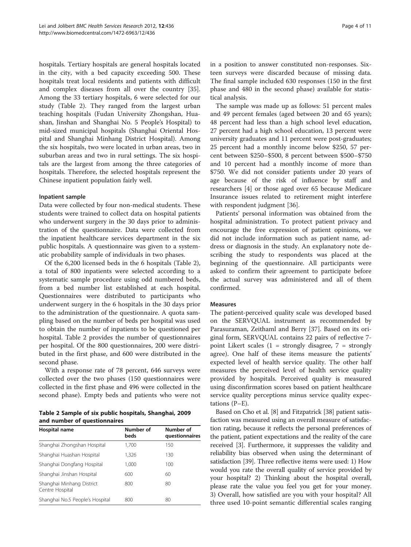hospitals. Tertiary hospitals are general hospitals located in the city, with a bed capacity exceeding 500. These hospitals treat local residents and patients with difficult and complex diseases from all over the country [\[35](#page-9-0)]. Among the 33 tertiary hospitals, 6 were selected for our study (Table 2). They ranged from the largest urban teaching hospitals (Fudan University Zhongshan, Huashan, Jinshan and Shanghai No. 5 People's Hospital) to mid-sized municipal hospitals (Shanghai Oriental Hospital and Shanghai Minhang District Hospital). Among the six hospitals, two were located in urban areas, two in suburban areas and two in rural settings. The six hospitals are the largest from among the three categories of hospitals. Therefore, the selected hospitals represent the Chinese inpatient population fairly well.

#### Inpatient sample

Data were collected by four non-medical students. These students were trained to collect data on hospital patients who underwent surgery in the 30 days prior to administration of the questionnaire. Data were collected from the inpatient healthcare services department in the six public hospitals. A questionnaire was given to a systematic probability sample of individuals in two phases.

Of the 6,200 licensed beds in the 6 hospitals (Table 2), a total of 800 inpatients were selected according to a systematic sample procedure using odd numbered beds, from a bed number list established at each hospital. Questionnaires were distributed to participants who underwent surgery in the 6 hospitals in the 30 days prior to the administration of the questionnaire. A quota sampling based on the number of beds per hospital was used to obtain the number of inpatients to be questioned per hospital. Table 2 provides the number of questionnaires per hospital. Of the 800 questionnaires, 200 were distributed in the first phase, and 600 were distributed in the second phase.

With a response rate of 78 percent, 646 surveys were collected over the two phases (150 questionnaires were collected in the first phase and 496 were collected in the second phase). Empty beds and patients who were not

Table 2 Sample of six public hospitals, Shanghai, 2009 and number of questionnaires

| Hospital name                                | Number of<br>beds | Number of<br>questionnaires |
|----------------------------------------------|-------------------|-----------------------------|
| Shanghai Zhongshan Hospital                  | 1.700             | 150                         |
| Shanghai Huashan Hospital                    | 1,326             | 130                         |
| Shanghai Dongfang Hospital                   | 1,000             | 100                         |
| Shanghai Jinshan Hospital                    | 600               | 60                          |
| Shanghai Minhang District<br>Centre Hospital | 800               | 80                          |
| Shanghai No.5 People's Hospital              | 800               | 80                          |

in a position to answer constituted non-responses. Sixteen surveys were discarded because of missing data. The final sample included 630 responses (150 in the first phase and 480 in the second phase) available for statistical analysis.

The sample was made up as follows: 51 percent males and 49 percent females (aged between 20 and 65 years); 48 percent had less than a high school level education, 27 percent had a high school education, 13 percent were university graduates and 11 percent were post-graduates; 25 percent had a monthly income below \$250, 57 percent between \$250–\$500, 8 percent between \$500–\$750 and 10 percent had a monthly income of more than \$750. We did not consider patients under 20 years of age because of the risk of influence by staff and researchers [[4](#page-9-0)] or those aged over 65 because Medicare Insurance issues related to retirement might interfere with respondent judgment [\[36](#page-9-0)].

Patients' personal information was obtained from the hospital administration. To protect patient privacy and encourage the free expression of patient opinions, we did not include information such as patient name, address or diagnosis in the study. An explanatory note describing the study to respondents was placed at the beginning of the questionnaire. All participants were asked to confirm their agreement to participate before the actual survey was administered and all of them confirmed.

#### Measures

The patient-perceived quality scale was developed based on the SERVQUAL instrument as recommended by Parasuraman, Zeithaml and Berry [[37\]](#page-9-0). Based on its original form, SERVQUAL contains 22 pairs of reflective 7 point Likert scales  $(1 =$  strongly disagree,  $7 =$  strongly agree). One half of these items measure the patients' expected level of health service quality. The other half measures the perceived level of health service quality provided by hospitals. Perceived quality is measured using disconfirmation scores based on patient healthcare service quality perceptions minus service quality expectations (P–E).

Based on Cho et al. [[8\]](#page-9-0) and Fitzpatrick [[38](#page-9-0)] patient satisfaction was measured using an overall measure of satisfaction rating, because it reflects the personal preferences of the patient, patient expectations and the reality of the care received [\[3\]](#page-9-0). Furthermore, it suppresses the validity and reliability bias observed when using the determinant of satisfaction [\[39\]](#page-9-0). Three reflective items were used: 1) How would you rate the overall quality of service provided by your hospital? 2) Thinking about the hospital overall, please rate the value you feel you get for your money. 3) Overall, how satisfied are you with your hospital? All three used 10-point semantic differential scales ranging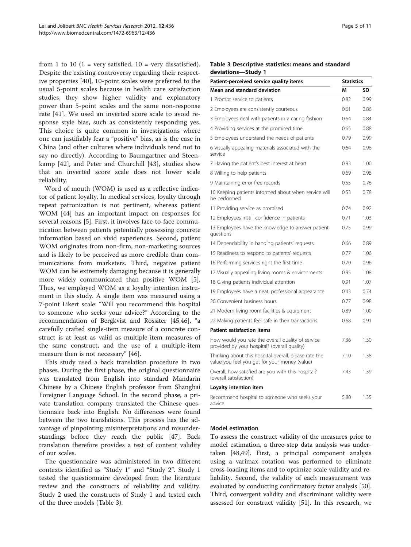<span id="page-4-0"></span>from 1 to 10 (1 = very satisfied,  $10$  = very dissatisfied). Despite the existing controversy regarding their respective properties [\[40](#page-9-0)], 10-point scales were preferred to the usual 5-point scales because in health care satisfaction studies, they show higher validity and explanatory power than 5-point scales and the same non-response rate [[41\]](#page-9-0). We used an inverted score scale to avoid response style bias, such as consistently responding yes. This choice is quite common in investigations where one can justifiably fear a "positive" bias, as is the case in China (and other cultures where individuals tend not to say no directly). According to Baumgartner and Steenkamp [[42](#page-9-0)], and Peter and Churchill [[43\]](#page-9-0), studies show that an inverted score scale does not lower scale reliability.

Word of mouth (WOM) is used as a reflective indicator of patient loyalty. In medical services, loyalty through repeat patronization is not pertinent, whereas patient WOM [\[44\]](#page-10-0) has an important impact on responses for several reasons [\[5](#page-9-0)]. First, it involves face-to-face communication between patients potentially possessing concrete information based on vivid experiences. Second, patient WOM originates from non-firm, non-marketing sources and is likely to be perceived as more credible than communications from marketers. Third, negative patient WOM can be extremely damaging because it is generally more widely communicated than positive WOM [\[5](#page-9-0)]. Thus, we employed WOM as a loyalty intention instrument in this study. A single item was measured using a 7-point Likert scale: "Will you recommend this hospital to someone who seeks your advice?" According to the recommendation of Bergkvist and Rossiter [\[45,46\]](#page-10-0), "a carefully crafted single-item measure of a concrete construct is at least as valid as multiple-item measures of the same construct, and the use of a multiple-item measure then is not necessary" [[46](#page-10-0)].

This study used a back translation procedure in two phases. During the first phase, the original questionnaire was translated from English into standard Mandarin Chinese by a Chinese English professor from Shanghai Foreigner Language School. In the second phase, a private translation company translated the Chinese questionnaire back into English. No differences were found between the two translations. This process has the advantage of pinpointing misinterpretations and misunderstandings before they reach the public [\[47\]](#page-10-0). Back translation therefore provides a test of content validity of our scales.

The questionnaire was administered in two different contexts identified as "Study 1" and "Study 2". Study 1 tested the questionnaire developed from the literature review and the constructs of reliability and validity. Study 2 used the constructs of Study 1 and tested each of the three models (Table 3).

# Table 3 Descriptive statistics: means and standard deviations—Study 1

| Patient-perceived service quality items                                                                | <b>Statistics</b> |      |  |
|--------------------------------------------------------------------------------------------------------|-------------------|------|--|
| Mean and standard deviation                                                                            | M                 | SD   |  |
| 1 Prompt service to patients                                                                           | 0.82              | 0.99 |  |
| 2 Employees are consistently courteous                                                                 | 0.61              | 0.86 |  |
| 3 Employees deal with patients in a caring fashion                                                     | 0.64              | 0.84 |  |
| 4 Providing services at the promised time                                                              | 0.65              | 0.88 |  |
| 5 Employees understand the needs of patients                                                           | 0.79              | 0.99 |  |
| 6 Visually appealing materials associated with the<br>service                                          | 0.64              | 0.96 |  |
| 7 Having the patient's best interest at heart                                                          | 0.93              | 1.00 |  |
| 8 Willing to help patients                                                                             | 0.69              | 0.98 |  |
| 9 Maintaining error-free records                                                                       | 0.55              | 0.76 |  |
| 10 Keeping patients informed about when service will<br>be performed                                   | 0.53              | 0.78 |  |
| 11 Providing service as promised                                                                       | 0.74              | 0.92 |  |
| 12 Employees instill confidence in patients                                                            | 0.71              | 1.03 |  |
| 13 Employees have the knowledge to answer patient<br>questions                                         | 0.75              | 0.99 |  |
| 14 Dependability in handing patients' requests                                                         | 0.66              | 0.89 |  |
| 15 Readiness to respond to patients' requests                                                          | 0.77              | 1.06 |  |
| 16 Performing services right the first time                                                            | 0.70              | 0.96 |  |
| 17 Visually appealing living rooms & environments                                                      | 0.95              | 1.08 |  |
| 18 Giving patients individual attention                                                                | 0.91              | 1.07 |  |
| 19 Employees have a neat, professional appearance                                                      | 0.43              | 0.74 |  |
| 20 Convenient business hours                                                                           | 0.77              | 0.98 |  |
| 21 Modern living room facilities & equipment                                                           | 0.89              | 1.00 |  |
| 22 Making patients feel safe in their transactions                                                     | 0.68              | 0.91 |  |
| <b>Patient satisfaction items</b>                                                                      |                   |      |  |
| How would you rate the overall quality of service<br>provided by your hospital? (overall quality)      | 7.36              | 1.30 |  |
| Thinking about this hospital overall, please rate the<br>value you feel you get for your money (value) | 7.10              | 1.38 |  |
| Overall, how satisfied are you with this hospital?<br>(overall satisfaction)                           | 7.43              | 1.39 |  |
| Loyalty intention item                                                                                 |                   |      |  |
| Recommend hospital to someone who seeks your<br>advice                                                 | 5.80              | 1.35 |  |

#### Model estimation

To assess the construct validity of the measures prior to model estimation, a three-step data analysis was undertaken [\[48,49](#page-10-0)]. First, a principal component analysis using a varimax rotation was performed to eliminate cross-loading items and to optimize scale validity and reliability. Second, the validity of each measurement was evaluated by conducting confirmatory factor analysis [[50](#page-10-0)]. Third, convergent validity and discriminant validity were assessed for construct validity [\[51\]](#page-10-0). In this research, we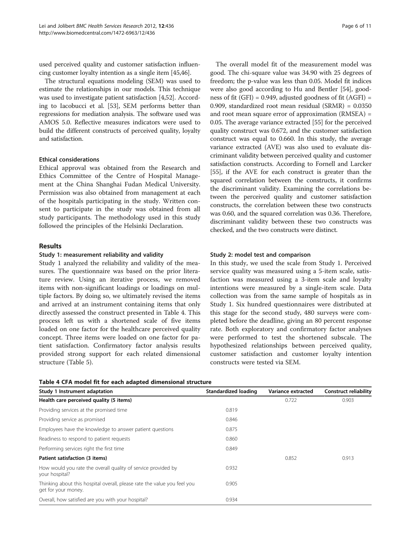used perceived quality and customer satisfaction influencing customer loyalty intention as a single item [[45,46](#page-10-0)].

The structural equations modeling (SEM) was used to estimate the relationships in our models. This technique was used to investigate patient satisfaction [\[4](#page-9-0)[,52\]](#page-10-0). According to Iacobucci et al. [\[53\]](#page-10-0), SEM performs better than regressions for mediation analysis. The software used was AMOS 5.0. Reflective measures indicators were used to build the different constructs of perceived quality, loyalty and satisfaction.

# Ethical considerations

Ethical approval was obtained from the Research and Ethics Committee of the Centre of Hospital Management at the China Shanghai Fudan Medical University. Permission was also obtained from management at each of the hospitals participating in the study. Written consent to participate in the study was obtained from all study participants. The methodology used in this study followed the principles of the Helsinki Declaration.

#### Results

#### Study 1: measurement reliability and validity

Study 1 analyzed the reliability and validity of the measures. The questionnaire was based on the prior literature review. Using an iterative process, we removed items with non-significant loadings or loadings on multiple factors. By doing so, we ultimately revised the items and arrived at an instrument containing items that only directly assessed the construct presented in Table 4. This process left us with a shortened scale of five items loaded on one factor for the healthcare perceived quality concept. Three items were loaded on one factor for patient satisfaction. Confirmatory factor analysis results provided strong support for each related dimensional structure (Table [5\)](#page-6-0).

The overall model fit of the measurement model was good. The chi-square value was 34.90 with 25 degrees of freedom; the p-value was less than 0.05. Model fit indices were also good according to Hu and Bentler [[54](#page-10-0)], goodness of fit (GFI) =  $0.949$ , adjusted goodness of fit (AGFI) = 0.909, standardized root mean residual (SRMR) = 0.0350 and root mean square error of approximation (RMSEA) = 0.05. The average variance extracted [[55](#page-10-0)] for the perceived quality construct was 0.672, and the customer satisfaction construct was equal to 0.660. In this study, the average variance extracted (AVE) was also used to evaluate discriminant validity between perceived quality and customer satisfaction constructs. According to Fornell and Larcker [[55](#page-10-0)], if the AVE for each construct is greater than the squared correlation between the constructs, it confirms the discriminant validity. Examining the correlations between the perceived quality and customer satisfaction constructs, the correlation between these two constructs was 0.60, and the squared correlation was 0.36. Therefore, discriminant validity between these two constructs was checked, and the two constructs were distinct.

#### Study 2: model test and comparison

In this study, we used the scale from Study 1. Perceived service quality was measured using a 5-item scale, satisfaction was measured using a 3-item scale and loyalty intentions were measured by a single-item scale. Data collection was from the same sample of hospitals as in Study 1. Six hundred questionnaires were distributed at this stage for the second study, 480 surveys were completed before the deadline, giving an 80 percent response rate. Both exploratory and confirmatory factor analyses were performed to test the shortened subscale. The hypothesized relationships between perceived quality, customer satisfaction and customer loyalty intention constructs were tested via SEM.

| Study 1 Instrument adaptation                                                                   | Standardized loading | Variance extracted | <b>Construct reliability</b> |
|-------------------------------------------------------------------------------------------------|----------------------|--------------------|------------------------------|
| Health care perceived quality (5 items)                                                         |                      | 0.722              | 0.903                        |
| Providing services at the promised time                                                         | 0.819                |                    |                              |
| Providing service as promised                                                                   | 0.846                |                    |                              |
| Employees have the knowledge to answer patient questions                                        | 0.875                |                    |                              |
| Readiness to respond to patient requests                                                        | 0.860                |                    |                              |
| Performing services right the first time                                                        | 0.849                |                    |                              |
| Patient satisfaction (3 items)                                                                  |                      | 0.852              | 0.913                        |
| How would you rate the overall quality of service provided by<br>your hospital?                 | 0.932                |                    |                              |
| Thinking about this hospital overall, please rate the value you feel you<br>get for your money. | 0.905                |                    |                              |
| Overall, how satisfied are you with your hospital?                                              | 0.934                |                    |                              |

Table 4 CFA model fit for each adapted dimensional structure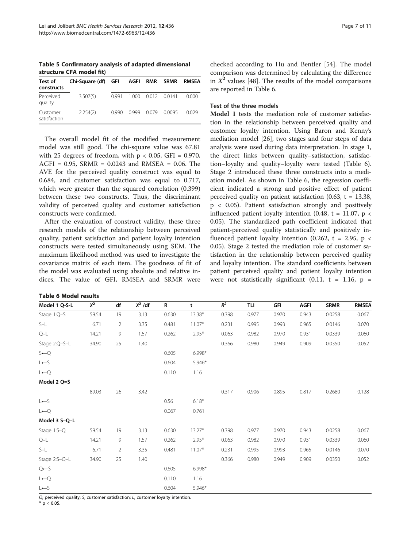<span id="page-6-0"></span>Table 5 Confirmatory analysis of adapted dimensional structure CFA model fit)

| Test of<br>constructs    | Chi-Square (df) GFI |       | AGFI RMR |       | <b>SRMR</b> | <b>RMSEA</b> |
|--------------------------|---------------------|-------|----------|-------|-------------|--------------|
| Perceived<br>quality     | 3.507(5)            | 0.991 | 1.000    | 0.012 | 00141       | 0.000        |
| Customer<br>satisfaction | 2.254(2)            | O 990 | 0.999    | 0079  | 0.0095      | 0.029        |

The overall model fit of the modified measurement model was still good. The chi-square value was 67.81 with 25 degrees of freedom, with  $p < 0.05$ , GFI = 0.970, AGFI =  $0.95$ , SRMR =  $0.0243$  and RMSEA = 0.06. The AVE for the perceived quality construct was equal to 0.684, and customer satisfaction was equal to 0.717, which were greater than the squared correlation (0.399) between these two constructs. Thus, the discriminant validity of perceived quality and customer satisfaction constructs were confirmed.

After the evaluation of construct validity, these three research models of the relationship between perceived quality, patient satisfaction and patient loyalty intention constructs were tested simultaneously using SEM. The maximum likelihood method was used to investigate the covariance matrix of each item. The goodness of fit of the model was evaluated using absolute and relative indices. The value of GFI, RMSEA and SRMR were

| <b>Table 6 Model results</b> |  |  |  |
|------------------------------|--|--|--|
|------------------------------|--|--|--|

checked according to Hu and Bentler [[54\]](#page-10-0). The model comparison was determined by calculating the difference in  $X^2$  values [[48](#page-10-0)]. The results of the model comparisons are reported in Table 6.

# Test of the three models

Model 1 tests the mediation role of customer satisfaction in the relationship between perceived quality and customer loyalty intention. Using Baron and Kenny's mediation model [[26](#page-9-0)], two stages and four steps of data analysis were used during data interpretation. In stage 1, the direct links between quality–satisfaction, satisfaction–loyalty and quality–loyalty were tested (Table 6). Stage 2 introduced these three constructs into a mediation model. As shown in Table 6, the regression coefficient indicated a strong and positive effect of patient perceived quality on patient satisfaction (0.63,  $t = 13.38$ , p < 0.05). Patient satisfaction strongly and positively influenced patient loyalty intention (0.48,  $t = 11.07$ ,  $p <$ 0.05). The standardized path coefficient indicated that patient-perceived quality statistically and positively influenced patient loyalty intention (0.262,  $t = 2.95$ ,  $p <$ 0.05). Stage 2 tested the mediation role of customer satisfaction in the relationship between perceived quality and loyalty intention. The standard coefficients between patient perceived quality and patient loyalty intention were not statistically significant (0.11,  $t = 1.16$ ,  $p =$ 

| Model 1 Q-S-L    | $\chi^2$ | df             | $X^2$ /df | R     | t        | $R^2$ | TLI   | GFI   | <b>AGFI</b> | <b>SRMR</b> | <b>RMSEA</b> |
|------------------|----------|----------------|-----------|-------|----------|-------|-------|-------|-------------|-------------|--------------|
| Stage 1:Q-S      | 59.54    | 19             | 3.13      | 0.630 | 13.38*   | 0.398 | 0.977 | 0.970 | 0.943       | 0.0258      | 0.067        |
| $S-L$            | 6.71     | $\overline{2}$ | 3.35      | 0.481 | $11.07*$ | 0.231 | 0.995 | 0.993 | 0.965       | 0.0146      | 0.070        |
| $Q-L$            | 14.21    | 9              | 1.57      | 0.262 | $2.95*$  | 0.063 | 0.982 | 0.970 | 0.931       | 0.0339      | 0.060        |
| Stage 2:Q-S-L    | 34.90    | 25             | 1.40      |       |          | 0.366 | 0.980 | 0.949 | 0.909       | 0.0350      | 0.052        |
| $S \leftarrow Q$ |          |                |           | 0.605 | $6.998*$ |       |       |       |             |             |              |
| $L \leftarrow S$ |          |                |           | 0.604 | 5.946*   |       |       |       |             |             |              |
| $L \leftarrow Q$ |          |                |           | 0.110 | 1.16     |       |       |       |             |             |              |
| Model 2 Q=S      |          |                |           |       |          |       |       |       |             |             |              |
|                  | 89.03    | 26             | 3.42      |       |          | 0.317 | 0.906 | 0.895 | 0.817       | 0.2680      | 0.128        |
| $L \leftarrow S$ |          |                |           | 0.56  | $6.18*$  |       |       |       |             |             |              |
| $L \leftarrow Q$ |          |                |           | 0.067 | 0.761    |       |       |       |             |             |              |
| Model 3 S-Q-L    |          |                |           |       |          |       |       |       |             |             |              |
| Stage 1:S-Q      | 59.54    | 19             | 3.13      | 0.630 | $13.27*$ | 0.398 | 0.977 | 0.970 | 0.943       | 0.0258      | 0.067        |
| $Q-L$            | 14.21    | 9              | 1.57      | 0.262 | $2.95*$  | 0.063 | 0.982 | 0.970 | 0.931       | 0.0339      | 0.060        |
| S-L              | 6.71     | $\overline{2}$ | 3.35      | 0.481 | $11.07*$ | 0.231 | 0.995 | 0.993 | 0.965       | 0.0146      | 0.070        |
| Stage 2:S-Q-L    | 34.90    | 25             | 1.40      |       |          | 0.366 | 0.980 | 0.949 | 0.909       | 0.0350      | 0.052        |
| $Q \leftarrow S$ |          |                |           | 0.605 | 6.998*   |       |       |       |             |             |              |
| $L \leftarrow Q$ |          |                |           | 0.110 | 1.16     |       |       |       |             |             |              |
| $L \leftarrow S$ |          |                |           | 0.604 | 5.946*   |       |       |       |             |             |              |

Q, perceived quality; S, customer satisfaction; L, customer loyalty intention.

 $*$  p < 0.05.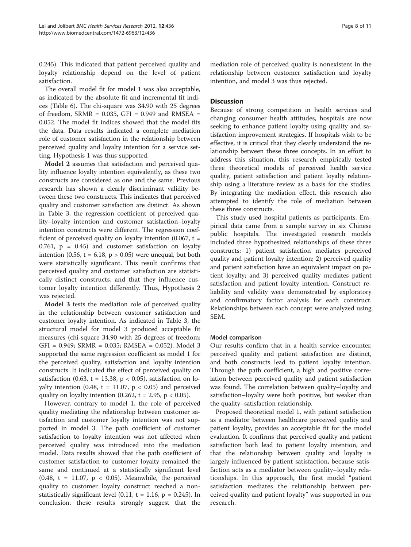0.245). This indicated that patient perceived quality and loyalty relationship depend on the level of patient satisfaction.

The overall model fit for model 1 was also acceptable, as indicated by the absolute fit and incremental fit indices (Table [6\)](#page-6-0). The chi-square was 34.90 with 25 degrees of freedom, SRMR =  $0.035$ , GFI =  $0.949$  and RMSEA = 0.052. The model fit indices showed that the model fits the data. Data results indicated a complete mediation role of customer satisfaction in the relationship between perceived quality and loyalty intention for a service setting. Hypothesis 1 was thus supported.

Model 2 assumes that satisfaction and perceived quality influence loyalty intention equivalently, as these two constructs are considered as one and the same. Previous research has shown a clearly discriminant validity between these two constructs. This indicates that perceived quality and customer satisfaction are distinct. As shown in Table [3](#page-4-0), the regression coefficient of perceived quality–loyalty intention and customer satisfaction–loyalty intention constructs were different. The regression coefficient of perceived quality on loyalty intention  $(0.067, t =$ 0.761,  $p = 0.45$  and customer satisfaction on loyalty intention (0.56,  $t = 6.18$ ,  $p > 0.05$ ) were unequal, but both were statistically significant. This result confirms that perceived quality and customer satisfaction are statistically distinct constructs, and that they influence customer loyalty intention differently. Thus, Hypothesis 2 was rejected.

Model 3 tests the mediation role of perceived quality in the relationship between customer satisfaction and customer loyalty intention. As indicated in Table [3,](#page-4-0) the structural model for model 3 produced acceptable fit measures (chi-square 34.90 with 25 degrees of freedom; GFI = 0.949; SRMR = 0.035; RMSEA = 0.052). Model 3 supported the same regression coefficient as model 1 for the perceived quality, satisfaction and loyalty intention constructs. It indicated the effect of perceived quality on satisfaction (0.63, t = 13.38,  $p < 0.05$ ), satisfaction on loyalty intention (0.48,  $t = 11.07$ ,  $p < 0.05$ ) and perceived quality on loyalty intention (0.262,  $t = 2.95$ ,  $p < 0.05$ ).

However, contrary to model 1, the role of perceived quality mediating the relationship between customer satisfaction and customer loyalty intention was not supported in model 3. The path coefficient of customer satisfaction to loyalty intention was not affected when perceived quality was introduced into the mediation model. Data results showed that the path coefficient of customer satisfaction to customer loyalty remained the same and continued at a statistically significant level (0.48,  $t = 11.07$ ,  $p < 0.05$ ). Meanwhile, the perceived quality to customer loyalty construct reached a nonstatistically significant level  $(0.11, t = 1.16, p = 0.245)$ . In conclusion, these results strongly suggest that the

mediation role of perceived quality is nonexistent in the relationship between customer satisfaction and loyalty intention, and model 3 was thus rejected.

# **Discussion**

Because of strong competition in health services and changing consumer health attitudes, hospitals are now seeking to enhance patient loyalty using quality and satisfaction improvement strategies. If hospitals wish to be effective, it is critical that they clearly understand the relationship between these three concepts. In an effort to address this situation, this research empirically tested three theoretical models of perceived health service quality, patient satisfaction and patient loyalty relationship using a literature review as a basis for the studies. By integrating the mediation effect, this research also attempted to identify the role of mediation between these three constructs.

This study used hospital patients as participants. Empirical data came from a sample survey in six Chinese public hospitals. The investigated research models included three hypothesized relationships of these three constructs: 1) patient satisfaction mediates perceived quality and patient loyalty intention; 2) perceived quality and patient satisfaction have an equivalent impact on patient loyalty; and 3) perceived quality mediates patient satisfaction and patient loyalty intention. Construct reliability and validity were demonstrated by exploratory and confirmatory factor analysis for each construct. Relationships between each concept were analyzed using SEM.

#### Model comparison

Our results confirm that in a health service encounter, perceived quality and patient satisfaction are distinct, and both constructs lead to patient loyalty intention. Through the path coefficient, a high and positive correlation between perceived quality and patient satisfaction was found. The correlation between quality–loyalty and satisfaction–loyalty were both positive, but weaker than the quality–satisfaction relationship.

Proposed theoretical model 1, with patient satisfaction as a mediator between healthcare perceived quality and patient loyalty, provides an acceptable fit for the model evaluation. It confirms that perceived quality and patient satisfaction both lead to patient loyalty intention, and that the relationship between quality and loyalty is largely influenced by patient satisfaction, because satisfaction acts as a mediator between quality–loyalty relationships. In this approach, the first model "patient satisfaction mediates the relationship between perceived quality and patient loyalty" was supported in our research.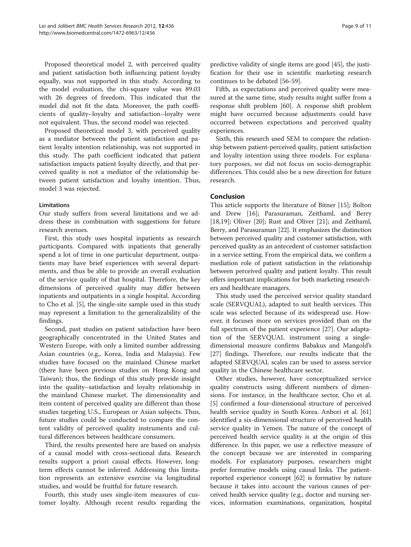Proposed theoretical model 2, with perceived quality and patient satisfaction both influencing patient loyalty equally, was not supported in this study. According to the model evaluation, the chi-square value was 89.03 with 26 degrees of freedom. This indicated that the model did not fit the data. Moreover, the path coefficients of quality–loyalty and satisfaction–loyalty were not equivalent. Thus, the second model was rejected.

Proposed theoretical model 3, with perceived quality as a mediator between the patient satisfaction and patient loyalty intention relationship, was not supported in this study. The path coefficient indicated that patient satisfaction impacts patient loyalty directly, and that perceived quality is not a mediator of the relationship between patient satisfaction and loyalty intention. Thus, model 3 was rejected.

# Limitations

Our study suffers from several limitations and we address these in combination with suggestions for future research avenues.

First, this study uses hospital inpatients as research participants. Compared with inpatients that generally spend a lot of time in one particular department, outpatients may have brief experiences with several departments, and thus be able to provide an overall evaluation of the service quality of that hospital. Therefore, the key dimensions of perceived quality may differ between inpatients and outpatients in a single hospital. According to Cho et al. [[5\]](#page-9-0), the single-site sample used in this study may represent a limitation to the generalizability of the findings.

Second, past studies on patient satisfaction have been geographically concentrated in the United States and Western Europe, with only a limited number addressing Asian countries (e.g., Korea, India and Malaysia). Few studies have focused on the mainland Chinese market (there have been previous studies on Hong Kong and Taiwan); thus, the findings of this study provide insight into the quality–satisfaction and loyalty relationship in the mainland Chinese market. The dimensionality and item content of perceived quality are different than those studies targeting U.S., European or Asian subjects. Thus, future studies could be conducted to compare the content validity of perceived quality instruments and cultural differences between healthcare consumers.

Third, the results presented here are based on analysis of a causal model with cross-sectional data. Research results support a priori causal effects. However, longterm effects cannot be inferred. Addressing this limitation represents an extensive exercise via longitudinal studies, and would be fruitful for future research.

Fourth, this study uses single-item measures of customer loyalty. Although recent results regarding the

predictive validity of single items are good [[45\]](#page-10-0), the justification for their use in scientific marketing research continues to be debated [[56-59](#page-10-0)].

Fifth, as expectations and perceived quality were measured at the same time, study results might suffer from a response shift problem [[60\]](#page-10-0). A response shift problem might have occurred because adjustments could have occurred between expectations and perceived quality experiences.

Sixth, this research used SEM to compare the relationship between patient-perceived quality, patient satisfaction and loyalty intention using three models. For explanatory purposes, we did not focus on socio-demographic differences. This could also be a new direction for future research.

# Conclusion

This article supports the literature of Bitner [[15\]](#page-9-0); Bolton and Drew [[16\]](#page-9-0); Parasuraman, Zeithaml, and Berry [[18,19\]](#page-9-0); Oliver [[20\]](#page-9-0); Rust and Oliver [\[21](#page-9-0)]; and Zeithaml, Berry, and Parasuraman [\[22](#page-9-0)]. It emphasizes the distinction between perceived quality and customer satisfaction, with perceived quality as an antecedent of customer satisfaction in a service setting. From the empirical data, we confirm a mediation role of patient satisfaction in the relationship between perceived quality and patient loyalty. This result offers important implications for both marketing researchers and healthcare managers.

This study used the perceived service quality standard scale (SERVQUAL), adapted to suit health services. This scale was selected because of its widespread use. However, it focuses more on services provided than on the full spectrum of the patient experience [\[27](#page-9-0)]. Our adaptation of the SERVQUAL instrument using a singledimensional measure confirms Babakus and Mangold's [[27\]](#page-9-0) findings. Therefore, our results indicate that the adapted SERVQUAL scales can be used to assess service quality in the Chinese healthcare sector.

Other studies, however, have conceptualized service quality constructs using different numbers of dimensions. For instance, in the healthcare sector, Cho et al. [[5\]](#page-9-0) confirmed a four-dimensional structure of perceived health service quality in South Korea. Anbori et al. [[61](#page-10-0)] identified a six-dimensional structure of perceived health service quality in Yemen. The nature of the concept of perceived health service quality is at the origin of this difference. In this paper, we use a reflective measure of the concept because we are interested in comparing models. For explanatory purposes, researchers might prefer formative models using causal links. The patientreported experience concept [\[62\]](#page-10-0) is formative by nature because it takes into account the various causes of perceived health service quality (e.g., doctor and nursing services, information examinations, organization, hospital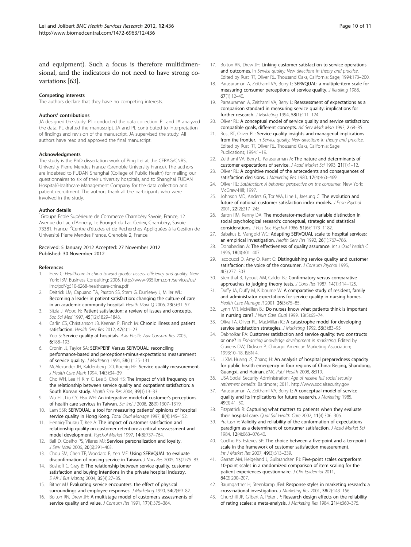<span id="page-9-0"></span>and equipment). Such a focus is therefore multidimensional, and the indicators do not need to have strong covariations [\[63\]](#page-10-0).

#### Competing interests

The authors declare that they have no competing interests.

#### Authors' contributions

JA designed the study. PL conducted the data collection. PL and JA analyzed the data. PL drafted the manuscript. JA and PL contributed to interpretation of findings and revision of the manuscript. JA supervised the study. All authors have read and approved the final manuscript.

#### Acknowledgments

The study is the PhD dissertation work of Ping Lei at the CERAG/CNRS, University Pierre Mendes France (Grenoble University France). The authors are indebted to FUDAN Shanghai (College of Public Health) for mailing our questionnaires to six of their university hospitals, and to Shanghai FUDAN Hospital/Healthcare Management Company for the data collection and patient recruitment. The authors thank all the participants who were involved in the study.

#### Author details

<sup>1</sup>Groupe Ecole Supérieure de Commerce Chambéry Savoie, France, 12 Avenue du Lac d'Annecy, Le Bourget du Lac Cedex, Chambéry, Savoie 73381, France. <sup>2</sup>Centre d'études et de Recherches Appliquées à la Gestion de Université Pierre Mendes France, Grenoble 2, France.

#### Received: 5 January 2012 Accepted: 27 November 2012 Published: 30 November 2012

#### References

- 1. Hew C: Healthcare in china toward greater access, efficiency and quality. New York: IBM Business Consulting; 2006. [http://www-935.ibm.com/services/us/](http://www-935.ibm.com/services/us/imc/pdf/g510-6268-healthcare-china.pdf) [imc/pdf/g510-6268-healthcare-china.pdf](http://www-935.ibm.com/services/us/imc/pdf/g510-6268-healthcare-china.pdf)
- 2. Deitrick LM, Capuano TA, Paxton SS, Stern G, Dunleavy J, Miller WL: Becoming a leader in patient satisfaction: changing the culture of care in an academic community hospital. Health Mark Q 2006, 23(3):31–57.
- 3. Sitzia J, Wood N: Patient satisfaction: a review of issues and concepts. Soc Sci Med 1997, 45(12):1829–1843.
- 4. Carlin CS, Christianson JB, Keenan P, Finch M: Chronic illness and patient satisfaction. Health Serv Res 2012, 47(4):1-23.
- 5. Yoo S: Service quality at hospitals. Asia Pacific Adv Consum Res 2005, 6:188–193.
- 6. Cronin JJ, Taylor SA: SERVPERF Versus SERVQUAL: reconciling performance-based and perceptions-minus-expectations measurement of service quality. J Marketing 1994, 58(1):125-131.
- 7. McAlexander JH, Kaldenberg DO, Koenig HF: Service quality measurement. J Health Care Mark 1994, 14(3):34–39.
- 8. Cho WH, Lee H, Kim C, Lee S, Choi HS: The impact of visit frequency on the relationship between service quality and outpatient satisfaction: a South Korean study. Health Serv Res 2004, 39(1):13-33.
- Wu HL, Liu CY, Hsu WH: An integrative model of customer's perceptions of health care services in Taiwan. Ser Ind J 2008, 28(9):1307–1319.
- 10. Lam SSK: SERVQUAL: a tool for measuring patients' opinions of hospital service quality in Hong Kong. Total Qual Manage 1997, 8(4):145-152.
- 11. Hennig-Thurau T, Kee A: The impact of customer satisfaction and relationship quality on customer retention: a critical reassessment and model development. Psychol Market 1997, 14(8):737–764.
- 12. Ball D, Coelho PS, Vilares MJ: Services personalization and loyalty. J Serv Mark 2006, 20(6):391–403.
- 13. Chou SM, Chen TF, Woodard B, Yen MF: Using SERVQUAL to evaluate disconfirmation of nursing service in Taiwan. J Nurs Res 2005, 13(2):75–83.
- 14. Boshoff C, Gray B: The relationship between service quality, customer satisfaction and buying intentions in the private hospital industry. S Afr J Bus Manag 2004, 35(4):27–35.
- 15. Bitner MJ: Evaluating service encounters: the effect of physical surroundings and employee responses. J Marketing 1990, 54(2):69–82.
- 16. Bolton RN, Drew JH: A multistage model of customer's assessments of service quality and value. J Consum Res 1991, 17(4):375-384.
- 17. Bolton RN, Drew JH: Linking customer satisfaction to service operations and outcomes. In Service quality: New directions in theory and practice. Edited by Rust RT, Oliver RL. Thousand Oaks, California: Sage; 1994:173–200.
- 18. Parasuraman A, Zeithaml VA, Berry L: SERVOUAL: a multiple-item scale for measuring consumer perceptions of service quality. J Retailing 1988,  $67(1):12-40$
- 19. Parasuraman A, Zeithaml VA, Berry L: Reassessment of expectations as a comparison standard in measuring service quality: implications for further research. J Marketing 1994, 58(1):111–124.
- 20. Oliver RL: A conceptual model of service quality and service satisfaction: compatible goals, different concepts. Ad Serv Mark Man 1993, 2:68–85.
- 21. Rust RT, Oliver RL: Service quality insights and managerial implications from the frontier. In Service quality: New directions in theory and practice. Edited by Rust RT, Oliver RL. Thousand Oaks, California: Sage Publications; 1994:1–19.
- 22. Zeithaml VA, Berry L, Parasuraman A: The nature and determinants of customer expectations of service. J Acad Market Sci 1993, 21(1):1–12.
- 23. Oliver RL: A cognitive model of the antecedents and consequences of satisfaction decisions. J Marketing Res 1980, 17(4):460-469.
- 24. Oliver RL: Satisfaction: A behavior perspective on the consumer. New York: McGraw-Hill; 1997.
- 25. Johnson MD, Anders G, Tor WA, Line L, Jaesung C: The evolution and future of national customer satisfaction index models. J Econ Psychol 2001, 22(2):217–245.
- 26. Baron RM, Kenny DA: The moderator-mediator variable distinction in social psychological research: conceptual, strategic and statistical considerations. J Pers Soc Psychol 1986, 51(6):1173–1182.
- 27. Babakus E, Mangold WG: Adapting SERVQUAL scale to hospital services: an empirical investigation. Health Serv Res 1992, 26(1):767-786.
- 28. Donabedian A: The effectiveness of quality assurance. Int J Qual health C 1996, 18(4):401–407.
- 29. Iacobucci D, Amy O, Kent G: Distinguishing service quality and customer satisfaction: the voice of the consumer. J Consum Psychol 1995, 4(3):277–303.
- 30. Sternthal B, Tybout AM, Calder BJ: Confirmatory versus comparative approaches to judging theory tests. J Cons Res 1987, 14(1):114-125.
- 31. Duffy JA, Duffy M, Kilbourne W: A comparative study of resident, family and administrator expectations for service quality in nursing homes. Health Care Manage R 2001, 26(3):75–85.
- 32. Lynn MR, McMillen BJ: Do nurses know what patients think is important in nursing care? J Nurs Care Qual 1999, 13(5):65–74.
- 33. Oliva TA, Oliver RL, MacMillan IC: A catastrophe model for developing service satisfaction strategies. J Marketing 1992, 56(3):83-95.
- 34. Dabholkar PA: Customer satisfaction and service quality: two constructs or one? In Enhancing knowledge development in marketing. Edited by Cravens DW, Dickson P. Chicago: American Marketing Association; 1993:10–18. ISBN 4.
- 35. Li XM, Huang JS, Zhang H: An analysis of hospital preparedness capacity for public health emergency in four regions of China: Beijing, Shandong, Guangxi, and Hainan. BMC Publ Health 2008, 8:319.
- 36. USA Social Security Administration: Age of receive full social security retirement benefits. Baltimore:; 2011.<http://www.socialsecurity.gov>
- 37. Parasuraman A, Zeithaml VA, Berry L: A conceptual model of service quality and its implications for future research. J Marketing 1985, 49(3):41–50.
- 38. Fitzpatrick R: Capturing what matters to patients when they evaluate their hospital care. Qual Saf Health Care 2002, 11(4):306-306.
- 39. Prakash V: Validity and reliability of the conformation of expectations paradigm as a determinant of consumer satisfaction. J Acad Market Sci 1984, 12(4):063–076.40.
- 40. Coelho PS, Esteves SP: The choice between a five-point and a ten-point scale in the framework of customer satisfaction measurement. Int J Market Res 2007, 49(3):313–339.
- 41. Garratt AM, Helgeland J, Gulbrandsen PJ: Five-point scales outperform 10-point scales in a randomized comparison of item scaling for the patient experiences questionnaire. J Clin Epidemiol 2011, 64(2):200–207.
- 42. Baumgartner H, Steenkamp JEM: Response styles in marketing research: a cross-national investigation. J Marketing Res 2001, 38(2):143–156.
- 43. Churchill JR, Gilbert A, Peter JP: Research design effects on the reliability of rating scales: a meta-analysis. J Marketing Res 1984, 21(4):360–375.